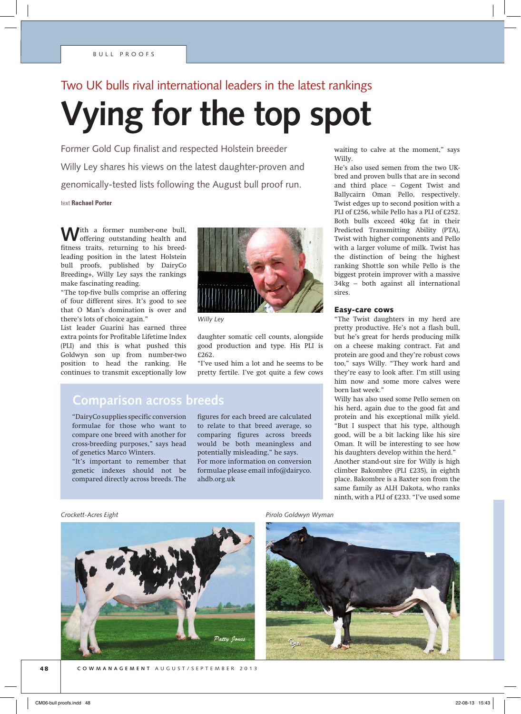# Two UK bulls rival international leaders in the latest rankings

# **Vying for the top spot**

Former Gold Cup finalist and respected Holstein breeder Willy Ley shares his views on the latest daughter-proven and genomically-tested lists following the August bull proof run.

text **Rachael Porter**

With a former number-one bull, offering outstanding health and fitness traits, returning to his breedleading position in the latest Holstein bull proofs, published by DairyCo Breeding+, Willy Ley says the rankings make fascinating reading.

"The top-five bulls comprise an offering of four different sires. It's good to see that O Man's domination is over and there's lots of choice again."

List leader Guarini has earned three extra points for Profitable Lifetime Index (PLI) and this is what pushed this Goldwyn son up from number-two position to head the ranking. He continues to transmit exceptionally low



*Willy Ley*

daughter somatic cell counts, alongside good production and type. His PLI is £262.

"I've used him a lot and he seems to be pretty fertile. I've got quite a few cows

### **Comparison across breeds**

"DairyCo supplies specific conversion formulae for those who want to compare one breed with another for cross-breeding purposes," says head of genetics Marco Winters.

"It's important to remember that genetic indexes should not be compared directly across breeds. The

figures for each breed are calculated to relate to that breed average, so comparing figures across breeds would be both meaningless and potentially misleading," he says. For more information on conversion formulae please email info@dairyco. ahdb.org.uk

waiting to calve at the moment," says Willy.

He's also used semen from the two UKbred and proven bulls that are in second and third place – Cogent Twist and Ballycairn Oman Pello, respectively. Twist edges up to second position with a PLI of £256, while Pello has a PLI of £252. Both bulls exceed 40kg fat in their Predicted Transmitting Ability (PTA), Twist with higher components and Pello with a larger volume of milk. Twist has the distinction of being the highest ranking Shottle son while Pello is the biggest protein improver with a massive 34kg – both against all international sires.

#### Easy-care cows

"The Twist daughters in my herd are pretty productive. He's not a flash bull, but he's great for herds producing milk on a cheese making contract. Fat and protein are good and they're robust cows too," says Willy. "They work hard and they're easy to look after. I'm still using him now and some more calves were born last week."

Willy has also used some Pello semen on his herd, again due to the good fat and protein and his exceptional milk yield. "But I suspect that his type, although good, will be a bit lacking like his sire Oman. It will be interesting to see how his daughters develop within the herd." Another stand-out sire for Willy is high climber Bakombre (PLI £235), in eighth place. Bakombre is a Baxter son from the same family as ALH Dakota, who ranks ninth, with a PLI of £233. "I've used some



*Crockett-Acres Eight Pirolo Goldwyn Wyman*